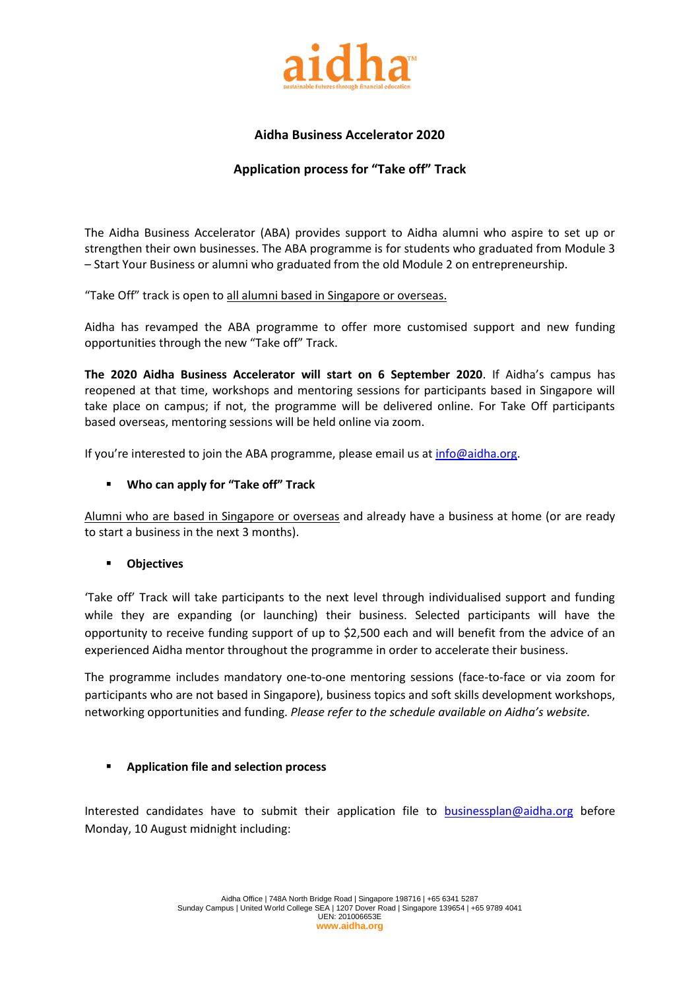

# **Aidha Business Accelerator 2020**

## **Application process for "Take off" Track**

The Aidha Business Accelerator (ABA) provides support to Aidha alumni who aspire to set up or strengthen their own businesses. The ABA programme is for students who graduated from Module 3 – Start Your Business or alumni who graduated from the old Module 2 on entrepreneurship.

"Take Off" track is open to all alumni based in Singapore or overseas.

Aidha has revamped the ABA programme to offer more customised support and new funding opportunities through the new "Take off" Track.

**The 2020 Aidha Business Accelerator will start on 6 September 2020**. If Aidha's campus has reopened at that time, workshops and mentoring sessions for participants based in Singapore will take place on campus; if not, the programme will be delivered online. For Take Off participants based overseas, mentoring sessions will be held online via zoom.

If you're interested to join the ABA programme, please email us at  $info@aidha.org$ .

#### **Who can apply for "Take off" Track**

Alumni who are based in Singapore or overseas and already have a business at home (or are ready to start a business in the next 3 months).

#### **Objectives**

'Take off' Track will take participants to the next level through individualised support and funding while they are expanding (or launching) their business. Selected participants will have the opportunity to receive funding support of up to \$2,500 each and will benefit from the advice of an experienced Aidha mentor throughout the programme in order to accelerate their business.

The programme includes mandatory one-to-one mentoring sessions (face-to-face or via zoom for participants who are not based in Singapore), business topics and soft skills development workshops, networking opportunities and funding. *Please refer to the schedule available on Aidha's website.*

#### **Application file and selection process**

Interested candidates have to submit their application file to [businessplan@aidha.org](mailto:businessplan@aidha.org) before Monday, 10 August midnight including: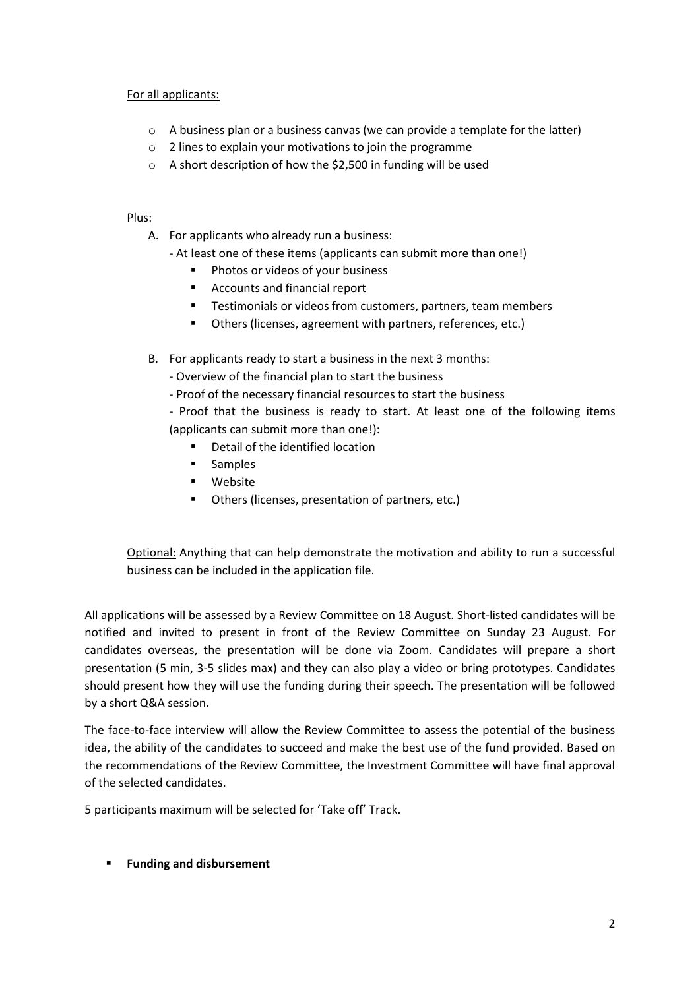### For all applicants:

- o A business plan or a business canvas (we can provide a template for the latter)
- o 2 lines to explain your motivations to join the programme
- o A short description of how the \$2,500 in funding will be used

### Plus:

- A. For applicants who already run a business:
	- At least one of these items (applicants can submit more than one!)
		- **Photos or videos of your business**
		- Accounts and financial report
		- Testimonials or videos from customers, partners, team members
		- Others (licenses, agreement with partners, references, etc.)
- B. For applicants ready to start a business in the next 3 months:
	- Overview of the financial plan to start the business
	- Proof of the necessary financial resources to start the business

- Proof that the business is ready to start. At least one of the following items (applicants can submit more than one!):

- Detail of the identified location
- **Samples**
- **■** Website
- Others (licenses, presentation of partners, etc.)

Optional: Anything that can help demonstrate the motivation and ability to run a successful business can be included in the application file.

All applications will be assessed by a Review Committee on 18 August. Short-listed candidates will be notified and invited to present in front of the Review Committee on Sunday 23 August. For candidates overseas, the presentation will be done via Zoom. Candidates will prepare a short presentation (5 min, 3-5 slides max) and they can also play a video or bring prototypes. Candidates should present how they will use the funding during their speech. The presentation will be followed by a short Q&A session.

The face-to-face interview will allow the Review Committee to assess the potential of the business idea, the ability of the candidates to succeed and make the best use of the fund provided. Based on the recommendations of the Review Committee, the Investment Committee will have final approval of the selected candidates.

5 participants maximum will be selected for 'Take off' Track.

**Funding and disbursement**